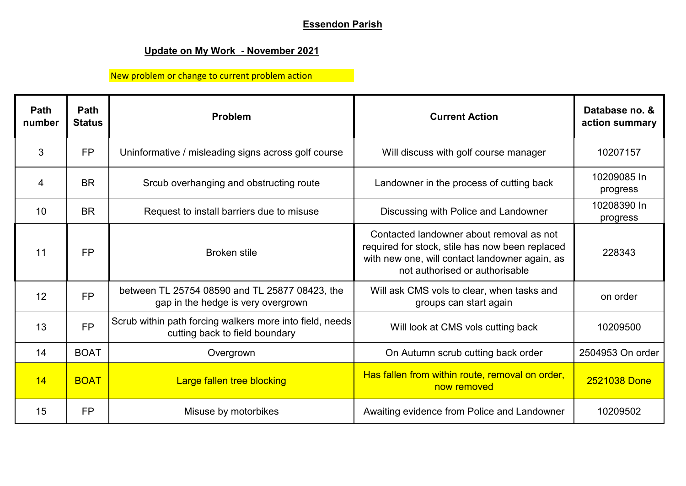## **Essendon Parish**

## **Update on My Work - November 2021**

## New problem or change to current problem action

| Path<br>number | Path<br><b>Status</b> | Problem                                                                                    | <b>Current Action</b>                                                                                                                                                           | Database no. &<br>action summary |
|----------------|-----------------------|--------------------------------------------------------------------------------------------|---------------------------------------------------------------------------------------------------------------------------------------------------------------------------------|----------------------------------|
| 3              | <b>FP</b>             | Uninformative / misleading signs across golf course                                        | Will discuss with golf course manager                                                                                                                                           | 10207157                         |
| 4              | <b>BR</b>             | Srcub overhanging and obstructing route                                                    | Landowner in the process of cutting back                                                                                                                                        | 10209085 In<br>progress          |
| 10             | <b>BR</b>             | Request to install barriers due to misuse                                                  | Discussing with Police and Landowner                                                                                                                                            | 10208390 In<br>progress          |
| 11             | <b>FP</b>             | <b>Broken stile</b>                                                                        | Contacted landowner about removal as not<br>required for stock, stile has now been replaced<br>with new one, will contact landowner again, as<br>not authorised or authorisable | 228343                           |
| 12             | <b>FP</b>             | between TL 25754 08590 and TL 25877 08423, the<br>gap in the hedge is very overgrown       | Will ask CMS vols to clear, when tasks and<br>groups can start again                                                                                                            | on order                         |
| 13             | <b>FP</b>             | Scrub within path forcing walkers more into field, needs<br>cutting back to field boundary | Will look at CMS vols cutting back                                                                                                                                              | 10209500                         |
| 14             | <b>BOAT</b>           | Overgrown                                                                                  | On Autumn scrub cutting back order                                                                                                                                              | 2504953 On order                 |
| 14             | <b>BOAT</b>           | Large fallen tree blocking                                                                 | Has fallen from within route, removal on order,<br>now removed                                                                                                                  | 2521038 Done                     |
| 15             | <b>FP</b>             | Misuse by motorbikes                                                                       | Awaiting evidence from Police and Landowner                                                                                                                                     | 10209502                         |